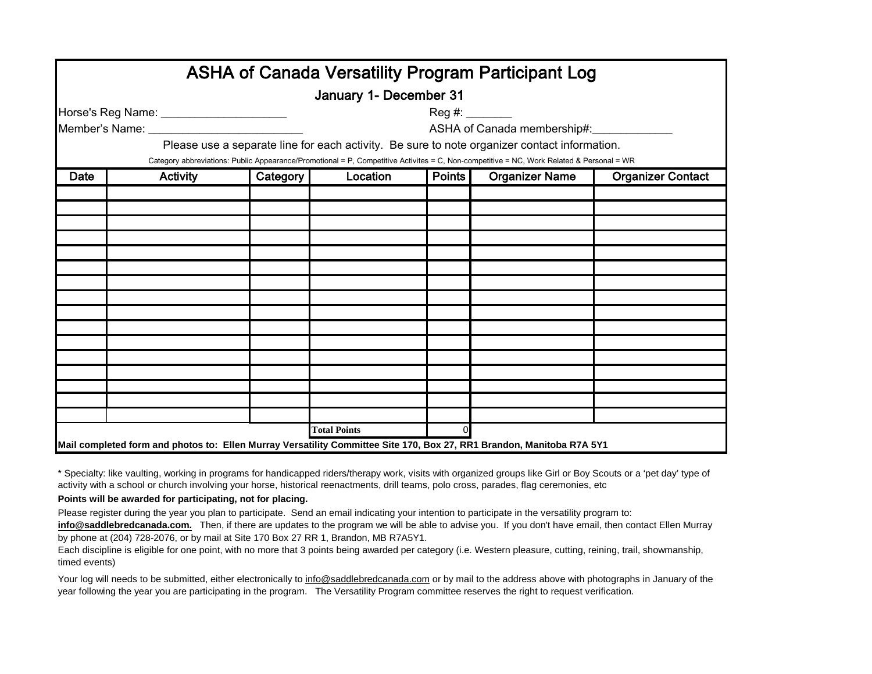| <b>ASHA of Canada Versatility Program Participant Log</b><br>January 1- December 31 |                                                                                                                       |          |                     |                             |                                                                                                                                                                                                                                          |                          |
|-------------------------------------------------------------------------------------|-----------------------------------------------------------------------------------------------------------------------|----------|---------------------|-----------------------------|------------------------------------------------------------------------------------------------------------------------------------------------------------------------------------------------------------------------------------------|--------------------------|
|                                                                                     |                                                                                                                       |          |                     |                             |                                                                                                                                                                                                                                          |                          |
|                                                                                     |                                                                                                                       |          |                     | ASHA of Canada membership#: |                                                                                                                                                                                                                                          |                          |
|                                                                                     |                                                                                                                       |          |                     |                             | Please use a separate line for each activity. Be sure to note organizer contact information.<br>Category abbreviations: Public Appearance/Promotional = P, Competitive Activites = C, Non-competitive = NC, Work Related & Personal = WR |                          |
| Date                                                                                | <b>Activity</b>                                                                                                       | Category | Location            | <b>Points</b>               | <b>Organizer Name</b>                                                                                                                                                                                                                    | <b>Organizer Contact</b> |
|                                                                                     |                                                                                                                       |          |                     |                             |                                                                                                                                                                                                                                          |                          |
|                                                                                     |                                                                                                                       |          |                     |                             |                                                                                                                                                                                                                                          |                          |
|                                                                                     |                                                                                                                       |          |                     |                             |                                                                                                                                                                                                                                          |                          |
|                                                                                     |                                                                                                                       |          |                     |                             |                                                                                                                                                                                                                                          |                          |
|                                                                                     |                                                                                                                       |          |                     |                             |                                                                                                                                                                                                                                          |                          |
|                                                                                     |                                                                                                                       |          |                     |                             |                                                                                                                                                                                                                                          |                          |
|                                                                                     |                                                                                                                       |          |                     |                             |                                                                                                                                                                                                                                          |                          |
|                                                                                     |                                                                                                                       |          |                     |                             |                                                                                                                                                                                                                                          |                          |
|                                                                                     |                                                                                                                       |          |                     |                             |                                                                                                                                                                                                                                          |                          |
|                                                                                     |                                                                                                                       |          |                     |                             |                                                                                                                                                                                                                                          |                          |
|                                                                                     |                                                                                                                       |          |                     |                             |                                                                                                                                                                                                                                          |                          |
|                                                                                     |                                                                                                                       |          |                     |                             |                                                                                                                                                                                                                                          |                          |
|                                                                                     |                                                                                                                       |          |                     |                             |                                                                                                                                                                                                                                          |                          |
|                                                                                     |                                                                                                                       |          |                     |                             |                                                                                                                                                                                                                                          |                          |
|                                                                                     |                                                                                                                       |          | <b>Total Points</b> | $\Omega$                    |                                                                                                                                                                                                                                          |                          |
|                                                                                     | Mail completed form and photos to: Ellen Murray Versatility Committee Site 170, Box 27, RR1 Brandon, Manitoba R7A 5Y1 |          |                     |                             |                                                                                                                                                                                                                                          |                          |

\* Specialty: like vaulting, working in programs for handicapped riders/therapy work, visits with organized groups like Girl or Boy Scouts or a 'pet day' type of activity with a school or church involving your horse, historical reenactments, drill teams, polo cross, parades, flag ceremonies, etc

**Points will be awarded for participating, not for placing.** 

Please register during the year you plan to participate. Send an email indicating your intention to participate in the versatility program to:

**info@saddlebredcanada.com.** Then, if there are updates to the program we will be able to advise you. If you don't have email, then contact Ellen Murray by phone at (204) 728-2076, or by mail at Site 170 Box 27 RR 1, Brandon, MB R7A5Y1.

Each discipline is eligible for one point, with no more that 3 points being awarded per category (i.e. Western pleasure, cutting, reining, trail, showmanship, timed events)

Your log will needs to be submitted, either electronically to info@saddlebredcanada.com or by mail to the address above with photographs in January of the year following the year you are participating in the program. The Versatility Program committee reserves the right to request verification.